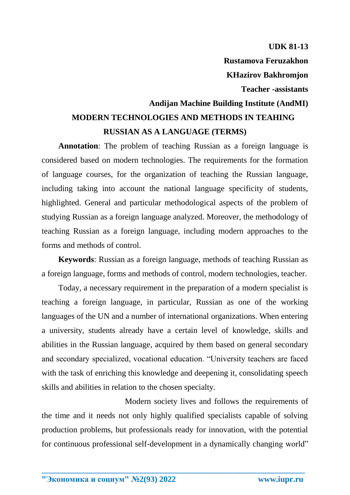**UDK 81-13 Rustamova Feruzakhon** 

**Teacher -assistants** 

**KHazirov Bakhromjon** 

## **Andijan Machine Building Institute (AndMI) MODERN TECHNOLOGIES AND METHODS IN TEAHING RUSSIAN AS A LANGUAGE (TERMS)**

**Annotation**: The problem of teaching Russian as a foreign language is considered based on modern technologies. The requirements for the formation of language courses, for the organization of teaching the Russian language, including taking into account the national language specificity of students, highlighted. General and particular methodological aspects of the problem of studying Russian as a foreign language analyzed. Moreover, the methodology of teaching Russian as a foreign language, including modern approaches to the forms and methods of control.

**Keywords**: Russian as a foreign language, methods of teaching Russian as a foreign language, forms and methods of control, modern technologies, teacher.

Today, a necessary requirement in the preparation of a modern specialist is teaching a foreign language, in particular, Russian as one of the working languages of the UN and a number of international organizations. When entering a university, students already have a certain level of knowledge, skills and abilities in the Russian language, acquired by them based on general secondary and secondary specialized, vocational education. "University teachers are faced with the task of enriching this knowledge and deepening it, consolidating speech skills and abilities in relation to the chosen specialty.

Modern society lives and follows the requirements of the time and it needs not only highly qualified specialists capable of solving production problems, but professionals ready for innovation, with the potential for continuous professional self-development in a dynamically changing world"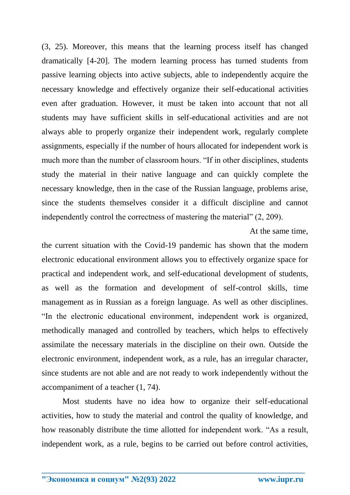(3, 25). Moreover, this means that the learning process itself has changed dramatically [4-20]. The modern learning process has turned students from passive learning objects into active subjects, able to independently acquire the necessary knowledge and effectively organize their self-educational activities even after graduation. However, it must be taken into account that not all students may have sufficient skills in self-educational activities and are not always able to properly organize their independent work, regularly complete assignments, especially if the number of hours allocated for independent work is much more than the number of classroom hours. "If in other disciplines, students study the material in their native language and can quickly complete the necessary knowledge, then in the case of the Russian language, problems arise, since the students themselves consider it a difficult discipline and cannot independently control the correctness of mastering the material" (2, 209).

At the same time,

the current situation with the Covid-19 pandemic has shown that the modern electronic educational environment allows you to effectively organize space for practical and independent work, and self-educational development of students, as well as the formation and development of self-control skills, time management as in Russian as a foreign language. As well as other disciplines. "In the electronic educational environment, independent work is organized, methodically managed and controlled by teachers, which helps to effectively assimilate the necessary materials in the discipline on their own. Outside the electronic environment, independent work, as a rule, has an irregular character, since students are not able and are not ready to work independently without the accompaniment of a teacher (1, 74).

Most students have no idea how to organize their self-educational activities, how to study the material and control the quality of knowledge, and how reasonably distribute the time allotted for independent work. "As a result, independent work, as a rule, begins to be carried out before control activities,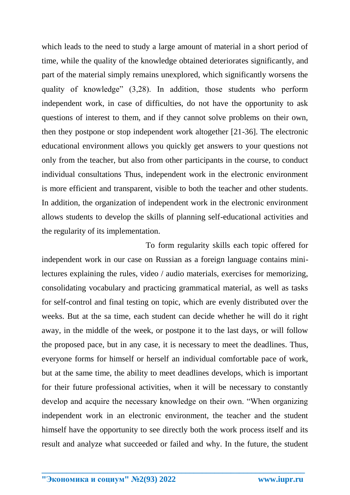which leads to the need to study a large amount of material in a short period of time, while the quality of the knowledge obtained deteriorates significantly, and part of the material simply remains unexplored, which significantly worsens the quality of knowledge" (3,28). In addition, those students who perform independent work, in case of difficulties, do not have the opportunity to ask questions of interest to them, and if they cannot solve problems on their own, then they postpone or stop independent work altogether [21-36]. The electronic educational environment allows you quickly get answers to your questions not only from the teacher, but also from other participants in the course, to conduct individual consultations Thus, independent work in the electronic environment is more efficient and transparent, visible to both the teacher and other students. In addition, the organization of independent work in the electronic environment allows students to develop the skills of planning self-educational activities and the regularity of its implementation.

To form regularity skills each topic offered for independent work in our case on Russian as a foreign language contains minilectures explaining the rules, video / audio materials, exercises for memorizing, consolidating vocabulary and practicing grammatical material, as well as tasks for self-control and final testing on topic, which are evenly distributed over the weeks. But at the sa time, each student can decide whether he will do it right away, in the middle of the week, or postpone it to the last days, or will follow the proposed pace, but in any case, it is necessary to meet the deadlines. Thus, everyone forms for himself or herself an individual comfortable pace of work, but at the same time, the ability to meet deadlines develops, which is important for their future professional activities, when it will be necessary to constantly develop and acquire the necessary knowledge on their own. "When organizing independent work in an electronic environment, the teacher and the student himself have the opportunity to see directly both the work process itself and its result and analyze what succeeded or failed and why. In the future, the student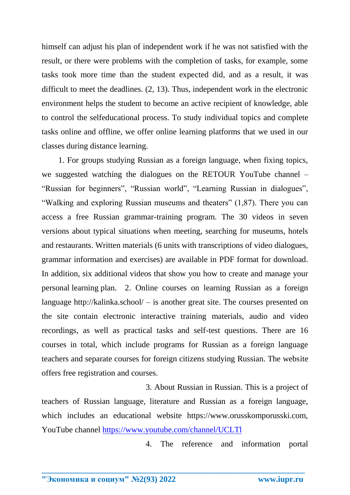himself can adjust his plan of independent work if he was not satisfied with the result, or there were problems with the completion of tasks, for example, some tasks took more time than the student expected did, and as a result, it was difficult to meet the deadlines. (2, 13). Thus, independent work in the electronic environment helps the student to become an active recipient of knowledge, able to control the selfeducational process. To study individual topics and complete tasks online and offline, we offer online learning platforms that we used in our classes during distance learning.

1. For groups studying Russian as a foreign language, when fixing topics, we suggested watching the dialogues on the RETOUR YouTube channel – "Russian for beginners", "Russian world", "Learning Russian in dialogues", "Walking and exploring Russian museums and theaters" (1,87). There you can access a free Russian grammar-training program. The 30 videos in seven versions about typical situations when meeting, searching for museums, hotels and restaurants. Written materials (6 units with transcriptions of video dialogues, grammar information and exercises) are available in PDF format for download. In addition, six additional videos that show you how to create and manage your personal learning plan. 2. Online courses on learning Russian as a foreign language http://kalinka.school/ – is another great site. The courses presented on the site contain electronic interactive training materials, audio and video recordings, as well as practical tasks and self-test questions. There are 16 courses in total, which include programs for Russian as a foreign language teachers and separate courses for foreign citizens studying Russian. The website offers free registration and courses.

3. About Russian in Russian. This is a project of teachers of Russian language, literature and Russian as a foreign language, which includes an educational website https://www.orusskomporusski.com, YouTube channel<https://www.youtube.com/channel/UCLTl>

**\_\_\_\_\_\_\_\_\_\_\_\_\_\_\_\_\_\_\_\_\_\_\_\_\_\_\_\_\_\_\_\_\_\_\_\_\_\_\_\_\_\_\_\_\_\_\_\_\_\_\_\_\_\_\_\_\_\_\_\_\_\_\_\_**

4. The reference and information portal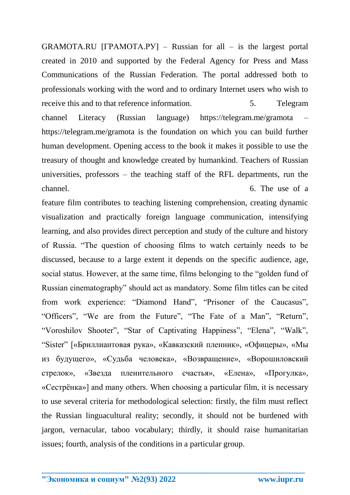GRAMOTA.RU [ГРАМОТА.РУ] – Russian for all – is the largest portal created in 2010 and supported by the Federal Agency for Press and Mass Communications of the Russian Federation. The portal addressed both to professionals working with the word and to ordinary Internet users who wish to receive this and to that reference information. 5. Telegram

channel Literacy (Russian language) https://telegram.me/gramota – https://telegram.me/gramota is the foundation on which you can build further human development. Opening access to the book it makes it possible to use the treasury of thought and knowledge created by humankind. Teachers of Russian universities, professors – the teaching staff of the RFL departments, run the channel. Contract the channel. Contract of a set of a set of a set of a set of a set of a set of a set of a set of a set of a set of a set of a set of a set of a set of a set of a set of a set of a set of a set of a set of

feature film contributes to teaching listening comprehension, creating dynamic visualization and practically foreign language communication, intensifying learning, and also provides direct perception and study of the culture and history of Russia. "The question of choosing films to watch certainly needs to be discussed, because to a large extent it depends on the specific audience, age, social status. However, at the same time, films belonging to the "golden fund of Russian cinematography" should act as mandatory. Some film titles can be cited from work experience: "Diamond Hand", "Prisoner of the Caucasus", "Officers", "We are from the Future", "The Fate of a Man", "Return", "Voroshilov Shooter", "Star of Captivating Happiness", "Elena", "Walk", "Sister" [«Бриллиантовая рука», «Кавказский пленник», «Офицеры», «Мы из будущего», «Судьба человека», «Возвращение», «Ворошиловский стрелок», «Звезда пленительного счастья», «Елена», «Прогулка», «Сестрёнка»] and many others. When choosing a particular film, it is necessary to use several criteria for methodological selection: firstly, the film must reflect the Russian linguacultural reality; secondly, it should not be burdened with jargon, vernacular, taboo vocabulary; thirdly, it should raise humanitarian issues; fourth, analysis of the conditions in a particular group.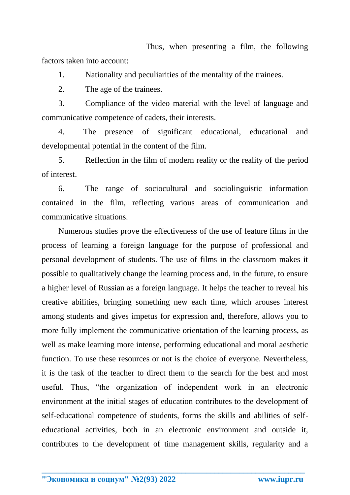Thus, when presenting a film, the following factors taken into account:

1. Nationality and peculiarities of the mentality of the trainees.

2. The age of the trainees.

3. Compliance of the video material with the level of language and communicative competence of cadets, their interests.

4. The presence of significant educational, educational and developmental potential in the content of the film.

5. Reflection in the film of modern reality or the reality of the period of interest.

6. The range of sociocultural and sociolinguistic information contained in the film, reflecting various areas of communication and communicative situations.

Numerous studies prove the effectiveness of the use of feature films in the process of learning a foreign language for the purpose of professional and personal development of students. The use of films in the classroom makes it possible to qualitatively change the learning process and, in the future, to ensure a higher level of Russian as a foreign language. It helps the teacher to reveal his creative abilities, bringing something new each time, which arouses interest among students and gives impetus for expression and, therefore, allows you to more fully implement the communicative orientation of the learning process, as well as make learning more intense, performing educational and moral aesthetic function. To use these resources or not is the choice of everyone. Nevertheless, it is the task of the teacher to direct them to the search for the best and most useful. Thus, "the organization of independent work in an electronic environment at the initial stages of education contributes to the development of self-educational competence of students, forms the skills and abilities of selfeducational activities, both in an electronic environment and outside it, contributes to the development of time management skills, regularity and a